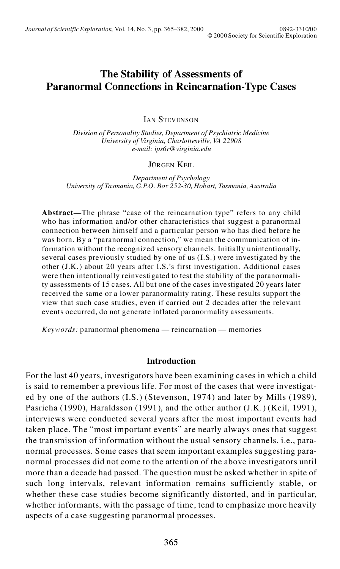# **The Stability of Assessments of Paranormal Connections in Reincarnation-Type Cases**

**IAN STEVENSON** 

*Division of Personality Studies, Department of Psychiatric Medicine University of Virginia, Charlottesville, VA 22908 e-mail: ips6r@virginia.edu*

#### JÜRGEN KEIL

*Department of Psychology University of Tasmania, G.P.O. Box 252-30, Hobart, Tasmania, Australia*

**Abstract—**The phrase "case of the reincarnation type" refers to any child who has information and/or other characteristics that suggest a paranormal connection between himself and a particular person who has died before he was born. By a "paranormal connection," we mean the communication of information without the recognized sensory channels. Initially unintentionally, several cases previously studied by one of us (I.S.) were investigated by the other (J.K.) about 20 years after I.S.'s first investigation. Additional cases were then intentionally reinvestigated to test the stability of the paranormality assessments of 15 cases. All but one of the cases investigated 20 years later received the same or a lower paranormality rating. These results support the view that such case studies, even if carried out 2 decades after the relevant events occurred, do not generate inflated paranormality assessments.

*Keywords:* paranormal phenomena — reincarnation — memories

## **Introduction**

For the last 40 years, investigators have been examining cases in which a child is said to remember a previous life. For most of the cases that were investigated by one of the authors (I.S.) (Stevenson, 1974) and later by Mills (1989), Pasricha (1990), Haraldsson (1991), and the other author (J.K.) (Keil, 1991), interviews were conducted several years after the most important events had taken place. The "most important events" are nearly always ones that suggest the transmission of information without the usual sensory channels, i.e., paranormal processes. Some cases that seem important examples suggesting paranormal processes did not come to the attention of the above investigators until more than a decade had passed. The question must be asked whether in spite of such long intervals, relevant information remains sufficiently stable, or whether these case studies become significantly distorted, and in particular, whether informants, with the passage of time, tend to emphasize more heavily aspects of a case suggesting paranormal processes.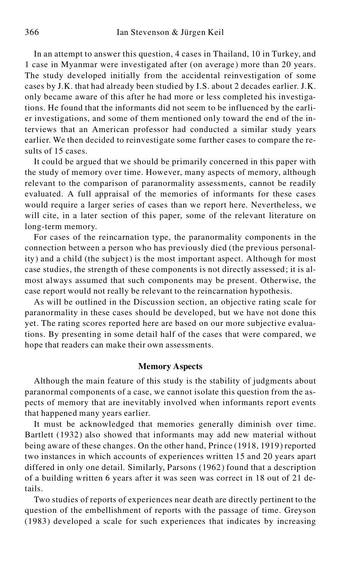In an attempt to answer this question, 4 cases in Thailand, 10 in Turkey, and 1 case in Myanmar were investigated after (on average ) more than 20 years. The study developed initially from the accidental reinvestigation of some cases by J.K. that had already been studied by I.S. about 2 decades earlier. J.K. only became aware of this after he had more or less completed his investigations. He found that the informants did not seem to be influenced by the earlier investigations, and some of them mentioned only toward the end of the interviews that an American professor had conducted a similar study years earlier. We then decided to reinvestigate some further cases to compare the results of 15 cases.

It could be argued that we should be primarily concerned in this paper with the study of memory over time. However, many aspects of memory, although relevant to the comparison of paranormality assessments, cannot be readily evaluated. A full appraisal of the memories of informants for these cases would require a larger series of cases than we report here. Nevertheless, we will cite, in a later section of this paper, some of the relevant literature on long-term memory.

For cases of the reincarnation type, the paranormality components in the connection between a person who has previously died (the previous personality) and a child (the subject) is the most important aspect. Although for most case studies, the strength of these components is not directly assessed; it is almost always assumed that such components may be present. Otherwise, the case report would not really be relevant to the reincarnation hypothesis.

As will be outlined in the Discussion section, an objective rating scale for paranormality in these cases should be developed, but we have not done this yet. The rating scores reported here are based on our more subjective evaluations. By presenting in some detail half of the cases that were compared, we hope that readers can make their own assessments.

#### **Memory Aspects**

Although the main feature of this study is the stability of judgments about paranormal components of a case, we cannot isolate this question from the aspects of memory that are inevitably involved when informants report events that happened many years earlier.

It must be acknowledged that memories generally diminish over time. Bartlett (1932) also showed that informants may add new material without being aware of these changes. On the other hand, Prince (1918, 1919) reported two instances in which accounts of experiences written 15 and 20 years apart differed in only one detail. Similarly, Parsons (1962) found that a description of a building written 6 years after it was seen was correct in 18 out of 21 details.

Two studies of reports of experiences near death are directly pertinent to the question of the embellishment of reports with the passage of time. Greyson (1983) developed a scale for such experiences that indicates by increasing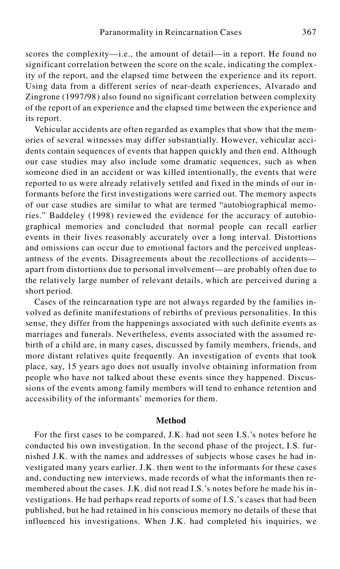scores the complexity—i.e., the amount of detail—in a report. He found no significant correlation between the score on the scale, indicating the complexity of the report, and the elapsed time between the experience and its report. Using data from a different series of near-death experiences, Alvarado and Zingrone (1997/98) also found no significant correlation between complexity of the report of an experience and the elapsed time between the experience and its report.

Vehicular accidents are often regarded as examples that show that the memories of several witnesses may differ substantially. However, vehicular accidents contain sequences of events that happen quickly and then end. Although our case studies may also include some dramatic sequences, such as when someone died in an accident or was killed intentionally, the events that were reported to us were already relatively settled and fixed in the minds of our informants before the first investigations were carried out. The memory aspects of our case studies are similar to what are termed "autobiographical memories." Baddeley (1998) reviewed the evidence for the accuracy of autobio graphical memories and concluded that normal people can recall earlier events in their lives reasonably accurately over a long interval. Distortions and omissions can occur due to emotional factors and the perceived unpleas antness of the events. Disagreements about the recollections of accidents apart from distortions due to personal involvement—are probably often due to the relatively large number of relevant details, which are perceived during a short period.

Cases of the reincarnation type are not always regarded by the families involved as definite manifestations of rebirths of previous personalities. In this sense, they differ from the happenings associated with such definite events as marriages and funerals. Nevertheless, events associated with the assumed rebirth of a child are, in many cases, discussed by family members, friends, and more distant relatives quite frequently. An investigation of events that took place, say, 15 years ago does not usually involve obtaining information from people who have not talked about these events since they happened. Discussions of the events among family members will tend to enhance retention and accessibility of the informants' memories for them.

## **Method**

For the first cases to be compared, J.K. had not seen I.S.'s notes before he conducted his own investigation. In the second phase of the project, I.S. furnished J.K. with the names and addresses of subjects whose cases he had investigated many years earlier. J.K. then went to the informants for these cases and, conducting new interviews, made records of what the informants then remembered about the cases. J.K. did not read I.S.'s notes before he made his investigations. He had perhaps read reports of some of I.S.'s cases that had been published, but he had retained in his conscious memory no details of these that influenced his investigations. When J.K. had completed his inquiries, we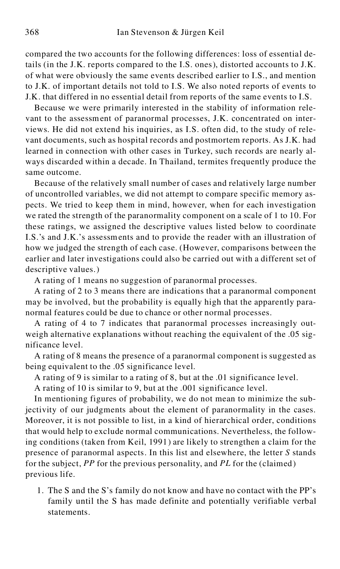compared the two accounts for the following differences: loss of essential details (in the J.K. reports compared to the I.S. ones), distorted accounts to J.K. of what were obviously the same events described earlier to I.S., and mention to J.K. of important details not told to I.S. We also noted reports of events to J.K. that differed in no essential detail from reports of the same events to I.S.

Because we were primarily interested in the stability of information relevant to the assessment of paranormal processes, J.K. concentrated on interviews. He did not extend his inquiries, as I.S. often did, to the study of relevant documents, such as hospital records and postmortem reports. As J.K. had learned in connection with other cases in Turkey, such records are nearly always discarded within a decade. In Thailand, termites frequently produce the same outcome.

Because of the relatively small number of cases and relatively large number of uncontrolled variables, we did not attempt to compare specific memory aspects. We tried to keep them in mind, however, when for each investigation we rated the strength of the paranormality component on a scale of 1 to 10. For these ratings, we assigned the descriptive values listed below to coordinate I.S.'s and J.K.'s assessments and to provide the reader with an illustration of how we judged the strength of each case. (However, comparisons between the earlier and later investigations could also be carried out with a different set of descriptive values.)

A rating of 1 means no suggestion of paranormal processes.

A rating of 2 to 3 means there are indications that a paranormal component may be involved, but the probability is equally high that the apparently paranormal features could be due to chance or other normal processes.

A rating of 4 to 7 indicates that paranormal processes increasingly outweigh alternative explanations without reaching the equivalent of the .05 significance level.

A rating of 8 means the presence of a paranormal component is suggested as being equivalent to the .05 significance level.

A rating of 9 is similar to a rating of 8, but at the .01 significance level.

A rating of 10 is similar to 9, but at the .001 significance level.

In mentioning figures of probability, we do not mean to minimize the subjectivity of our judgments about the element of paranormality in the cases. Moreover, it is not possible to list, in a kind of hierarchical order, conditions that would help to exclude normal communications. Nevertheless, the following conditions (taken from Keil, 1991) are likely to strengthen a claim for the presence of paranormal aspects. In this list and elsewhere, the letter *S* stands for the subject, *PP* for the previous personality, and *PL* for the (claimed) previous life.

1. The S and the S's family do not know and have no contact with the PP's family until the S has made definite and potentially verifiable verbal statements.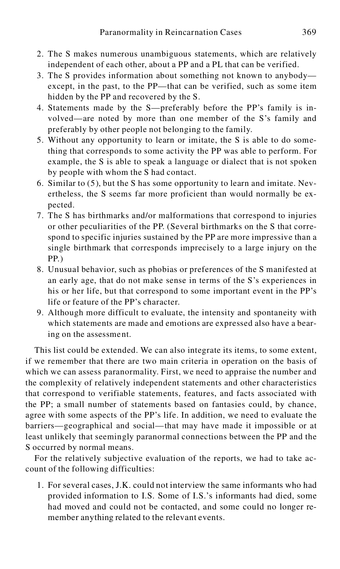- 2. The S makes numerous unambiguous statements, which are relatively independent of each other, about a PP and a PL that can be verified.
- 3. The S provides information about something not known to anybody except, in the past, to the PP—that can be verified, such as some item hidden by the PP and recovered by the S.
- 4. Statements made by the S—preferably before the PP's family is involved—are noted by more than one member of the S's family and preferably by other people not belonging to the family.
- 5. Without any opportunity to learn or imitate, the S is able to do something that corresponds to some activity the PP was able to perform. For example, the S is able to speak a language or dialect that is not spoken by people with whom the S had contact.
- 6. Similar to (5), but the S has some opportunity to learn and imitate. Nevertheless, the S seems far more proficient than would normally be expected.
- 7. The S has birthmarks and/or malformations that correspond to injuries or other peculiarities of the PP. (Several birthmarks on the S that correspond to specific injuries sustained by the PP are more impressive than a single birthmark that corresponds imprecisely to a large injury on the PP.)
- 8. Unusual behavior, such as phobias or preferences of the S manifested at an early age, that do not make sense in terms of the S's experiences in his or her life, but that correspond to some important event in the PP's life or feature of the PP's character.
- 9. Although more difficult to evaluate, the intensity and spontaneity with which statements are made and emotions are expressed also have a bearing on the assessment.

This list could be extended. We can also integrate its items, to some extent, if we remember that there are two main criteria in operation on the basis of which we can assess paranormality. First, we need to appraise the number and the complexity of relatively independent statements and other characteristics that correspond to verifiable statements, features, and facts associated with the PP; a small number of statements based on fantasies could, by chance, agree with some aspects of the PP's life. In addition, we need to evaluate the barriers—geographical and social—that may have made it impossible or at least unlikely that seemingly paranormal connections between the PP and the S occurred by normal means.

For the relatively subjective evaluation of the reports, we had to take account of the following difficulties:

1. For several cases, J.K. could not interview the same informants who had provided information to I.S. Some of I.S.'s informants had died, some had moved and could not be contacted, and some could no longer remember anything related to the relevant events.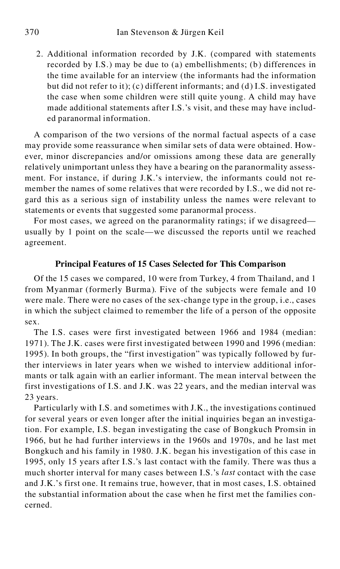2. Additional information recorded by J.K. (compared with statements recorded by I.S.) may be due to (a) embellishments; (b) differences in the time available for an interview (the informants had the information but did not refer to it); (c) different informants; and (d) I.S. investigated the case when some children were still quite young. A child may have made additional statements after I.S.'s visit, and these may have included paranormal information.

A comparison of the two versions of the normal factual aspects of a case may provide some reassurance when similar sets of data were obtained. However, minor discrepancies and/or omissions among these data are generally relatively unimportant unless they have a bearing on the paranormality assessment. For instance, if during J.K.'s interview, the informants could not remember the names of some relatives that were recorded by I.S., we did not regard this as a serious sign of instability unless the names were relevant to statements or events that suggested some paranormal process.

For most cases, we agreed on the paranormality ratings; if we disagreed usually by 1 point on the scale—we discussed the reports until we reached agreement.

## **Principal Features of 15 Cases Selected for This Comparison**

Of the 15 cases we compared, 10 were from Turkey, 4 from Thailand, and 1 from Myanmar (formerly Burma). Five of the subjects were female and 10 were male. There were no cases of the sex-change type in the group, i.e., cases in which the subject claimed to remember the life of a person of the opposite sex.

The I.S. cases were first investigated between 1966 and 1984 (median: 1971). The J.K. cases were first investigated between 1990 and 1996 (median: 1995). In both groups, the "first investigation" was typically followed by further interviews in later years when we wished to interview additional informants or talk again with an earlier informant. The mean interval between the first investigations of I.S. and J.K. was 22 years, and the median interval was 23 years.

Particularly with I.S. and sometimes with J.K., the investigations continued for several years or even longer after the initial inquiries began an investigation. For example, I.S. began investigating the case of Bongkuch Promsin in 1966, but he had further interviews in the 1960s and 1970s, and he last met Bongkuch and his family in 1980. J.K. began his investigation of this case in 1995, only 15 years after I.S.'s last contact with the family. There was thus a much shorter interval for many cases between I.S.'s *last* contact with the case and J.K.'s first one. It remains true, however, that in most cases, I.S. obtained the substantial information about the case when he first met the families concerned.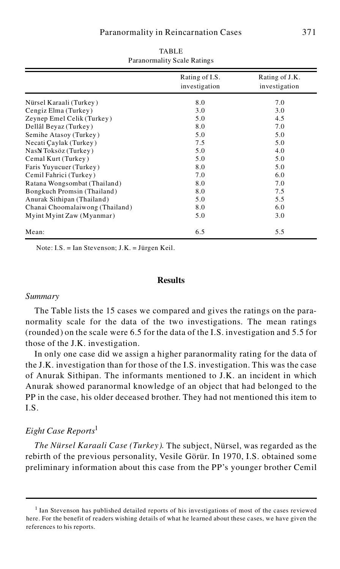|                                 | Rating of I.S.<br>investigation | Rating of J.K.<br>investigation |
|---------------------------------|---------------------------------|---------------------------------|
| Nürsel Karaali (Turkey)         | 8.0                             | 7.0                             |
| Cengiz Elma (Turkey)            | 3.0                             | 3.0                             |
| Zeynep Emel Celik (Turkey)      | 5.0                             | 4.5                             |
| Dellâl Beyaz (Turkey)           | 8.0                             | 7.0                             |
| Semihe Atasoy (Turkey)          | 5.0                             | 5.0                             |
| Necati Çaylak (Turkey)          | 7.5                             | 5.0                             |
| NasN Toksöz (Turkey)            | 5.0                             | 4.0                             |
| Cemal Kurt (Turkey)             | 5.0                             | 5.0                             |
| Faris Yuyucuer (Turkey)         | 8.0                             | 5.0                             |
| Cemil Fahrici (Turkey)          | 7.0                             | 6.0                             |
| Ratana Wongsombat (Thailand)    | 8.0                             | 7.0                             |
| Bongkuch Promsin (Thailand)     | 8.0                             | 7.5                             |
| Anurak Sithipan (Thailand)      | 5.0                             | 5.5                             |
| Chanai Choomalaiwong (Thailand) | 8.0                             | 6.0                             |
| Myint Myint Zaw (Myanmar)       | 5.0                             | 3.0                             |
| Mean:                           | 6.5                             | 5.5                             |

TABLE Paranormality Scale Ratings

Note: I.S. = Ian Stevenson; J.K. = Jürgen Keil.

## **Results**

#### *Summary*

The Table lists the 15 cases we compared and gives the ratings on the paranormality scale for the data of the two investigations. The mean ratings (rounded) on the scale were 6.5 for the data of the I.S. investigation and 5.5 for those of the J.K. investigation.

In only one case did we assign a higher paranormality rating for the data of the J.K. investigation than for those of the I.S. investigation. This was the case of Anurak Sithipan. The informants mentioned to J.K. an incident in which Anurak showed paranormal knowledge of an object that had belonged to the PP in the case, his older deceased brother. They had not mentioned this item to I.S.

## *Eight Case Reports*<sup>1</sup>

*The Nürsel Karaali Case (Turkey).* The subject, Nürsel, was regarded as the rebirth of the previous personality, Vesile Görür. In 1970, I.S. obtained some preliminary information about this case from the PP's younger brother Cemil

<sup>&</sup>lt;sup>1</sup> Ian Stevenson has published detailed reports of his investigations of most of the cases reviewed here. For the benefit of readers wishing details of what he learned about these cases, we have given the references to his reports.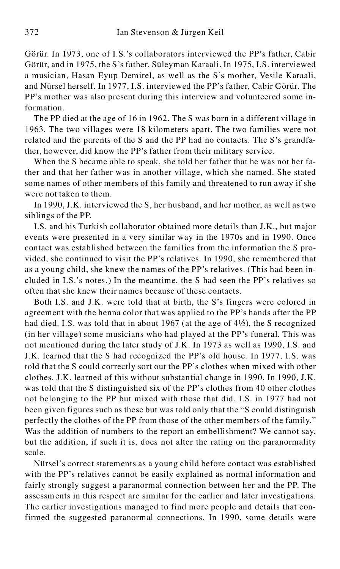Görür. In 1973, one of I.S.'s collaborators interviewed the PP's father, Cabir Görür, and in 1975, the S's father, Süleyman Karaali. In 1975, I.S. interviewed a musician, Hasan Eyup Demirel, as well as the S's mother, Vesile Karaali, and Nürsel herself. In 1977, I.S. interviewed the PP's father, Cabir Görür. The PP's mother was also present during this interview and volunteered some information.

The PP died at the age of 16 in 1962. The S was born in a different village in 1963. The two villages were 18 kilometers apart. The two families were not related and the parents of the S and the PP had no contacts. The S's grandfather, however, did know the PP's father from their military service.

When the S became able to speak, she told her father that he was not her father and that her father was in another village, which she named. She stated some names of other members of this family and threatened to run away if she were not taken to them.

In 1990, J.K. interviewed the S, her husband, and her mother, as well as two siblings of the PP.

I.S. and his Turkish collaborator obtained more details than J.K., but major events were presented in a very similar way in the 1970s and in 1990. Once contact was established between the families from the information the S provided, she continued to visit the PP's relatives. In 1990, she remembered that as a young child, she knew the names of the PP's relatives. (This had been included in I.S.'s notes.) In the meantime, the S had seen the PP's relatives so often that she knew their names because of these contacts.

Both I.S. and J.K. were told that at birth, the S's fingers were colored in agreement with the henna color that was applied to the PP's hands after the PP had died. I.S. was told that in about 1967 (at the age of  $4\frac{1}{2}$ ), the S recognized (in her village) some musicians who had played at the PP's funeral. This was not mentioned during the later study of J.K. In 1973 as well as 1990, I.S. and J.K. learned that the S had recognized the PP's old house. In 1977, I.S. was told that the S could correctly sort out the PP's clothes when mixed with other clothes. J.K. learned of this without substantial change in 1990. In 1990, J.K. was told that the S distinguished six of the PP's clothes from 40 other clothes not belonging to the PP but mixed with those that did. I.S. in 1977 had not been given figures such as these but was told only that the "S could distinguish perfectly the clothes of the PP from those of the other members of the family." Was the addition of numbers to the report an embellishment? We cannot say, but the addition, if such it is, does not alter the rating on the paranormality scale.

Nürsel's correct statements as a young child before contact was established with the PP's relatives cannot be easily explained as normal information and fairly strongly suggest a paranormal connection between her and the PP. The assessments in this respect are similar for the earlier and later investigations. The earlier investigations managed to find more people and details that confirmed the suggested paranormal connections. In 1990, some details were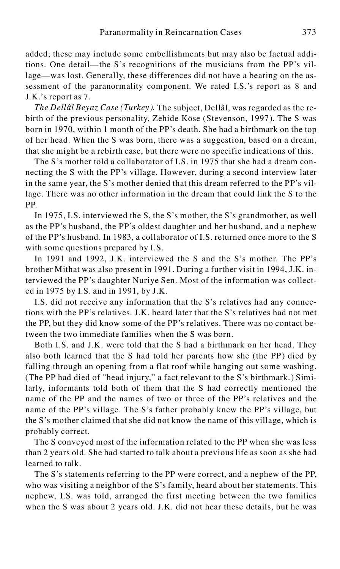added; these may include some embellishments but may also be factual additions. One detail—the S's recognitions of the musicians from the PP's village—was lost. Generally, these differences did not have a bearing on the assessment of the paranormality component. We rated I.S.'s report as 8 and J.K.'s report as 7.

*The Dellâl Beyaz Case (Turkey ).* The subject, Dellâl, was regarded as the rebirth of the previous personality, Zehide Köse (Stevenson, 1997). The S was born in 1970, within 1 month of the PP's death. She had a birthmark on the top of her head. When the S was born, there was a suggestion, based on a dream, that she might be a rebirth case, but there were no specific indications of this.

The S's mother told a collaborator of I.S. in 1975 that she had a dream connecting the S with the PP's village. However, during a second interview later in the same year, the S's mother denied that this dream referred to the PP's village. There was no other information in the dream that could link the S to the PP.

In 1975, I.S. interviewed the S, the S's mother, the S's grandmother, as well as the PP's husband, the PP's oldest daughter and her husband, and a nephew of the PP's husband. In 1983, a collaborator of I.S. returned once more to the S with some questions prepared by I.S.

In 1991 and 1992, J.K. interviewed the S and the S's mother. The PP's brother Mithat was also present in 1991. During a further visit in 1994, J.K. interviewed the PP's daughter Nuriye Sen. Most of the information was collect ed in 1975 by I.S. and in 1991, by J.K.

I.S. did not receive any information that the S's relatives had any connections with the PP's relatives. J.K. heard later that the S's relatives had not met the PP, but they did know some of the PP's relatives. There was no contact between the two immediate families when the S was born.

Both I.S. and J.K. were told that the S had a birthmark on her head. They also both learned that the S had told her parents how she (the PP) died by falling through an opening from a flat roof while hanging out some washing. (The PP had died of "head injury," a fact relevant to the S's birthmark.) Similarly, informants told both of them that the S had correctly mentioned the name of the PP and the names of two or three of the PP's relatives and the name of the PP's village. The S's father probably knew the PP's village, but the S's mother claimed that she did not know the name of this village, which is probably correct.

The S conveyed most of the information related to the PP when she was less than 2 years old. She had started to talk about a previous life as soon as she had learned to talk.

The S's statements referring to the PP were correct, and a nephew of the PP, who was visiting a neighbor of the S's family, heard about her statements. This nephew, I.S. was told, arranged the first meeting between the two families when the S was about 2 years old. J.K. did not hear these details, but he was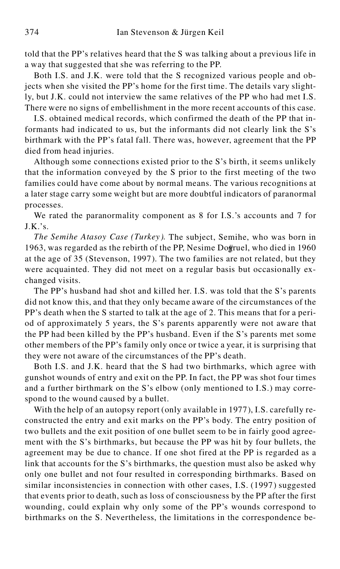told that the PP's relatives heard that the S was talking about a previous life in a way that suggested that she was referring to the PP.

Both I.S. and J.K. were told that the S recognized various people and objects when she visited the PP's home for the first time. The details vary slightly, but J.K. could not interview the same relatives of the PP who had met I.S. There were no signs of embellishment in the more recent accounts of this case.

I.S. obtained medical records, which confirmed the death of the PP that informants had indicated to us, but the informants did not clearly link the S's birthmark with the PP's fatal fall. There was, however, agreement that the PP died from head injuries.

Although some connections existed prior to the S's birth, it seems unlikely that the information conveyed by the S prior to the first meeting of the two families could have come about by normal means. The various recognitions at a later stage carry some weight but are more doubtful indicators of paranormal processes.

We rated the paranormality component as 8 for I.S.'s accounts and 7 for  $J.K.'s.$ 

*The Semihe Atasoy Case (Turkey ).* The subject, Semihe, who was born in 1963, was regarded as the rebirth of the PP, Nesime Dogÿruel, who died in 1960 at the age of 35 (Stevenson, 1997). The two families are not related, but they were acquainted. They did not meet on a regular basis but occasionally exchanged visits.

The PP's husband had shot and killed her. I.S. was told that the S's parents did not know this, and that they only became aware of the circumstances of the PP's death when the S started to talk at the age of 2. This means that for a period of approximately 5 years, the S's parents apparently were not aware that the PP had been killed by the PP's husband. Even if the S's parents met some other members of the PP's family only once or twice a year, it is surprising that they were not aware of the circumstances of the PP's death.

Both I.S. and J.K. heard that the S had two birthmarks, which agree with gunshot wounds of entry and exit on the PP. In fact, the PP was shot four times and a further birthmark on the S's elbow (only mentioned to I.S.) may correspond to the wound caused by a bullet.

With the help of an autopsy report (only available in 1977), I.S. carefully reconstructed the entry and exit marks on the PP's body. The entry position of two bullets and the exit position of one bullet seem to be in fairly good agreement with the S's birthmarks, but because the PP was hit by four bullets, the agreement may be due to chance. If one shot fired at the PP is regarded as a link that accounts for the S's birthmarks, the question must also be asked why only one bullet and not four resulted in corresponding birthmarks. Based on similar inconsistencies in connection with other cases, I.S. (1997) suggested that events prior to death, such as loss of consciousness by the PP after the first wounding, could explain why only some of the PP's wounds correspond to birthmarks on the S. Nevertheless, the limitations in the correspondence be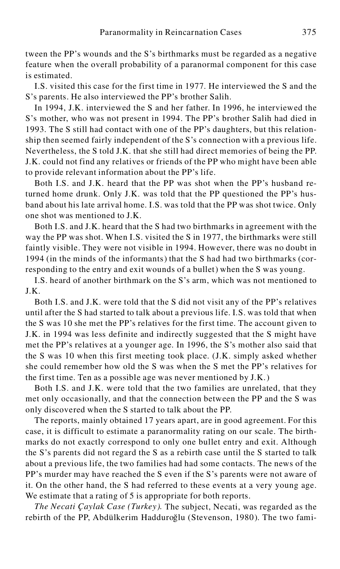tween the PP's wounds and the S's birthmarks must be regarded as a negative feature when the overall probability of a paranormal component for this case is estimated.

I.S. visited this case for the first time in 1977. He interviewed the S and the S's parents. He also interviewed the PP's brother Salih.

In 1994, J.K. interviewed the S and her father. In 1996, he interviewed the S's mother, who was not present in 1994. The PP's brother Salih had died in 1993. The S still had contact with one of the PP's daughters, but this relationship then seemed fairly independent of the S's connection with a previous life. Nevertheless, the S told J.K. that she still had direct memories of being the PP. J.K. could not find any relatives or friends of the PP who might have been able to provide relevant information about the PP's life.

Both I.S. and J.K. heard that the PP was shot when the PP's husband returned home drunk. Only J.K. was told that the PP questioned the PP's husband about his late arrival home. I.S. was told that the PP was shot twice. Only one shot was mentioned to J.K.

Both I.S. and J.K. heard that the S had two birthmarks in agreement with the way the PP was shot. When I.S. visited the S in 1977, the birthmarks were still faintly visible. They were not visible in 1994. However, there was no doubt in 1994 (in the minds of the informants) that the S had had two birthmarks (corresponding to the entry and exit wounds of a bullet) when the S was young.

I.S. heard of another birthmark on the S's arm, which was not mentioned to J.K.

Both I.S. and J.K. were told that the S did not visit any of the PP's relatives until after the S had started to talk about a previous life. I.S. was told that when the S was 10 she met the PP's relatives for the first time. The account given to J.K. in 1994 was less definite and indirectly suggested that the S might have met the PP's relatives at a younger age. In 1996, the S's mother also said that the S was 10 when this first meeting took place. (J.K. simply asked whether she could remember how old the S was when the S met the PP's relatives for the first time. Ten as a possible age was never mentioned by J.K.)

Both I.S. and J.K. were told that the two families are unrelated, that they met only occasionally, and that the connection between the PP and the S was only discovered when the S started to talk about the PP.

The reports, mainly obtained 17 years apart, are in good agreement. For this case, it is difficult to estimate a paranormality rating on our scale. The birthmarks do not exactly correspond to only one bullet entry and exit. Although the S's parents did not regard the S as a rebirth case until the S started to talk about a previous life, the two families had had some contacts. The news of the PP's murder may have reached the S even if the S's parents were not aware of it. On the other hand, the S had referred to these events at a very young age. We estimate that a rating of 5 is appropriate for both reports.

*The Necati Çaylak Case (Turkey).* The subject, Necati, was regarded as the rebirth of the PP, Abdülkerim Hadduroğlu (Stevenson, 1980). The two fami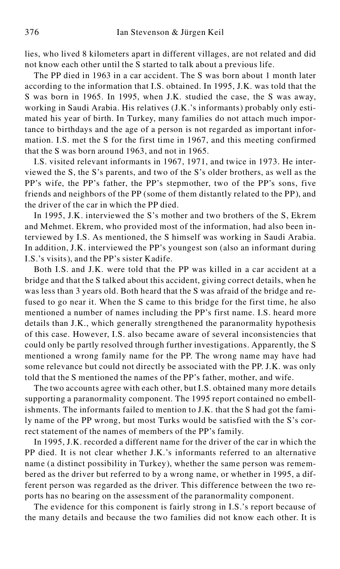lies, who lived 8 kilometers apart in different villages, are not related and did not know each other until the S started to talk about a previous life.

The PP died in 1963 in a car accident. The S was born about 1 month later according to the information that I.S. obtained. In 1995, J.K. was told that the S was born in 1965. In 1995, when J.K. studied the case, the S was away, working in Saudi Arabia. His relatives (J.K.'s informants) probably only estimated his year of birth. In Turkey, many families do not attach much importance to birthdays and the age of a person is not regarded as important information. I.S. met the S for the first time in 1967, and this meeting confirmed that the S was born around 1963, and not in 1965.

I.S. visited relevant informants in 1967, 1971, and twice in 1973. He interviewed the S, the S's parents, and two of the S's older brothers, as well as the PP's wife, the PP's father, the PP's stepmother, two of the PP's sons, five friends and neighbors of the PP (some of them distantly related to the PP), and the driver of the car in which the PP died.

In 1995, J.K. interviewed the S's mother and two brothers of the S, Ekrem and Mehmet. Ekrem, who provided most of the information, had also been interviewed by I.S. As mentioned, the S himself was working in Saudi Arabia. In addition, J.K. interviewed the PP's youngest son (also an informant during I.S.'s visits), and the PP's sister Kadife.

Both I.S. and J.K. were told that the PP was killed in a car accident at a bridge and that the S talked about this accident, giving correct details, when he was less than 3 years old. Both heard that the S was afraid of the bridge and refused to go near it. When the S came to this bridge for the first time, he also mentioned a number of names including the PP's first name. I.S. heard more details than J.K., which generally strengthened the paranormality hypothesis of this case. However, I.S. also became aware of several inconsistencies that could only be partly resolved through further investigations. Apparently, the S mentioned a wrong family name for the PP. The wrong name may have had some relevance but could not directly be associated with the PP. J.K. was only told that the S mentioned the names of the PP's father, mother, and wife.

The two accounts agree with each other, but I.S. obtained many more details supporting a paranormality component. The 1995 report contained no embellishments. The informants failed to mention to J.K. that the S had got the family name of the PP wrong, but most Turks would be satisfied with the S's correct statement of the names of members of the PP's family.

In 1995, J.K. recorded a different name for the driver of the car in which the PP died. It is not clear whether J.K.'s informants referred to an alternative name (a distinct possibility in Turkey), whether the same person was remembered as the driver but referred to by a wrong name, or whether in 1995, a different person was regarded as the driver. This difference between the two reports has no bearing on the assessment of the paranormality component.

The evidence for this component is fairly strong in I.S.'s report because of the many details and because the two families did not know each other. It is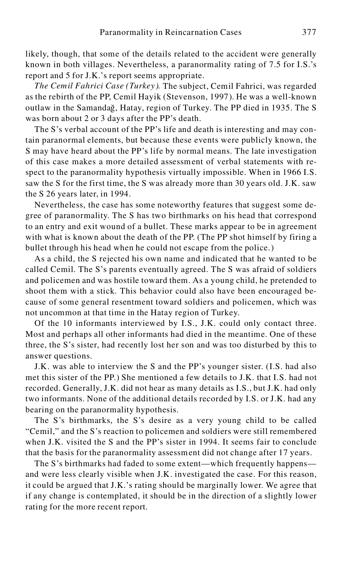likely, though, that some of the details related to the accident were generally known in both villages. Nevertheless, a paranormality rating of 7.5 for I.S.'s report and 5 for J.K.'s report seems appropriate.

*The Cemil Fahrici Case (Turkey ).* The subject, Cemil Fahrici, was regarded as the rebirth of the PP, Cemil Hayik (Stevenson, 1997). He was a well-known outlaw in the Samandağ, Hatay, region of Turkey. The PP died in 1935. The S was born about 2 or 3 days after the PP's death.

The S's verbal account of the PP's life and death is interesting and may contain paranormal elements, but because these events were publicly known, the S may have heard about the PP's life by normal means. The late investigation of this case makes a more detailed assessment of verbal statements with respect to the paranormality hypothesis virtually impossible. When in 1966 I.S. saw the S for the first time, the S was already more than 30 years old. J.K. saw the S 26 years later, in 1994.

Nevertheless, the case has some noteworthy features that suggest some degree of paranormality. The S has two birthmarks on his head that correspond to an entry and exit wound of a bullet. These marks appear to be in agreement with what is known about the death of the PP. (The PP shot himself by firing a bullet through his head when he could not escape from the police.)

As a child, the S rejected his own name and indicated that he wanted to be called Cemil. The S's parents eventually agreed. The S was afraid of soldiers and policemen and was hostile toward them. As a young child, he pretended to shoot them with a stick. This behavior could also have been encouraged because of some general resentment toward soldiers and policemen, which was not uncommon at that time in the Hatay region of Turkey.

Of the 10 informants interviewed by I.S., J.K. could only contact three. Most and perhaps all other informants had died in the meantime. One of these three, the S's sister, had recently lost her son and was too disturbed by this to answer questions.

J.K. was able to interview the S and the PP's younger sister. (I.S. had also met this sister of the PP.) She mentioned a few details to J.K. that I.S. had not recorded. Generally, J.K. did not hear as many details as I.S., but J.K. had only two informants. None of the additional details recorded by I.S. or J.K. had any bearing on the paranormality hypothesis.

The S's birthmarks, the S's desire as a very young child to be called "Cemil," and the S's reaction to policemen and soldiers were still remembered when J.K. visited the S and the PP's sister in 1994. It seems fair to conclude that the basis for the paranormality assessment did not change after 17 years.

The S's birthmarks had faded to some extent—which frequently happens and were less clearly visible when J.K. investigated the case. For this reason, it could be argued that J.K.'s rating should be marginally lower. We agree that if any change is contemplated, it should be in the direction of a slightly lower rating for the more recent report.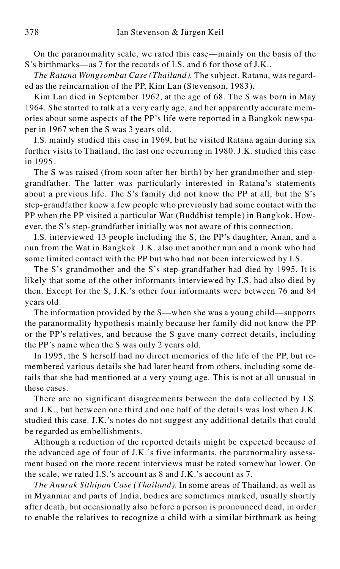On the paranormality scale, we rated this case—mainly on the basis of the S's birthmarks—as 7 for the records of I.S. and 6 for those of J.K..

*The Ratana Wongsombat Case (Thailand).* The subject, Ratana, was regarded as the reincarnation of the PP, Kim Lan (Stevenson, 1983).

Kim Lan died in September 1962, at the age of 68. The S was born in May 1964. She started to talk at a very early age, and her apparently accurate memories about some aspects of the PP's life were reported in a Bangkok newspaper in 1967 when the S was 3 years old.

I.S. mainly studied this case in 1969, but he visited Ratana again during six further visits to Thailand, the last one occurring in 1980. J.K. studied this case in 1995.

The S was raised (from soon after her birth) by her grandmother and stepgrandfather. The latter was particularly interested in Ratana's statements about a previous life. The S's family did not know the PP at all, but the S's step-grandfather knew a few people who previously had some contact with the PP when the PP visited a particular Wat (Buddhist temple) in Bangkok. However, the S's step-grandfather initially was not aware of this connection.

I.S. interviewed 13 people including the S, the PP's daughter, Anan, and a nun from the Wat in Bangkok. J.K. also met another nun and a monk who had some limited contact with the PP but who had not been interviewed by I.S.

The S's grandmother and the S's step-grandfather had died by 1995. It is likely that some of the other informants interviewed by I.S. had also died by then. Except for the S, J.K.'s other four informants were between 76 and 84 years old.

The information provided by the S—when she was a young child—supports the paranormality hypothesis mainly because her family did not know the PP or the PP's relatives, and because the S gave many correct details, including the PP's name when the S was only 2 years old.

In 1995, the S herself had no direct memories of the life of the PP, but remembered various details she had later heard from others, including some details that she had mentioned at a very young age. This is not at all unusual in these cases.

There are no significant disagreements between the data collected by I.S. and J.K., but between one third and one half of the details was lost when J.K. studied this case. J.K.'s notes do not suggest any additional details that could be regarded as embellishments.

Although a reduction of the reported details might be expected because of the advanced age of four of J.K.'s five informants, the paranormality assessment based on the more recent interviews must be rated somewhat lower. On the scale, we rated I.S.'s account as 8 and J.K.'s account as 7.

*The Anurak Sithipan Case (Thailand).* In some areas of Thailand, as well as in Myanmar and parts of India, bodies are sometimes marked, usually shortly after death, but occasionally also before a person is pronounced dead, in order to enable the relatives to recognize a child with a similar birthmark as being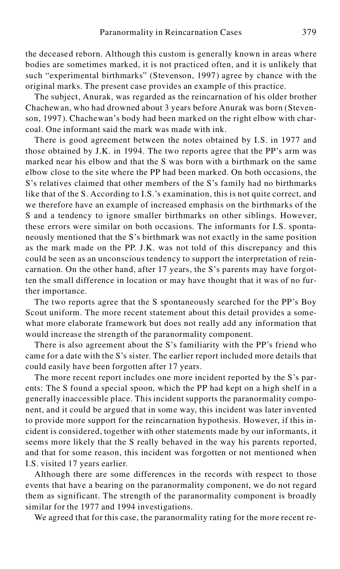the deceased reborn. Although this custom is generally known in areas where bodies are sometimes marked, it is not practiced often, and it is unlikely that such "experimental birthmarks" (Stevenson, 1997) agree by chance with the original marks. The present case provides an example of this practice.

The subject, Anurak, was regarded as the reincarnation of his older brother Chachewan, who had drowned about 3 years before Anurak was born (Stevenson, 1997). Chachewan's body had been marked on the right elbow with charcoal. One informant said the mark was made with ink.

There is good agreement between the notes obtained by I.S. in 1977 and those obtained by J.K. in 1994. The two reports agree that the PP's arm was marked near his elbow and that the S was born with a birthmark on the same elbow close to the site where the PP had been marked. On both occasions, the S's relatives claimed that other members of the S's family had no birthmarks like that of the S. According to I.S.'s examination, this is not quite correct, and we therefore have an example of increased emphasis on the birthmarks of the S and a tendency to ignore smaller birthmarks on other siblings. However, these errors were similar on both occasions. The informants for I.S. spontaneously mentioned that the S's birthmark was not exactly in the same position as the mark made on the PP. J.K. was not told of this discrepancy and this could be seen as an unconscious tendency to support the interpretation of reincarnation. On the other hand, after 17 years, the S's parents may have forgotten the small difference in location or may have thought that it was of no further importance.

The two reports agree that the S spontaneously searched for the PP's Boy Scout uniform. The more recent statement about this detail provides a somewhat more elaborate framework but does not really add any information that would increase the strength of the paranormality component.

There is also agreement about the S's familiarity with the PP's friend who came for a date with the S's sister. The earlier report included more details that could easily have been forgotten after 17 years.

The more recent report includes one more incident reported by the S's parents: The S found a special spoon, which the PP had kept on a high shelf in a generally inaccessible place. This incident supports the paranormality component, and it could be argued that in some way, this incident was later invented to provide more support for the reincarnation hypothesis. However, if this incident is considered, together with other statements made by our informants, it seems more likely that the S really behaved in the way his parents reported, and that for some reason, this incident was forgotten or not mentioned when I.S. visited 17 years earlier.

Although there are some differences in the records with respect to those events that have a bearing on the paranormality component, we do not regard them as significant. The strength of the paranormality component is broadly similar for the 1977 and 1994 investigations.<br>We agreed that for this case, the paranormality rating for the more recent re-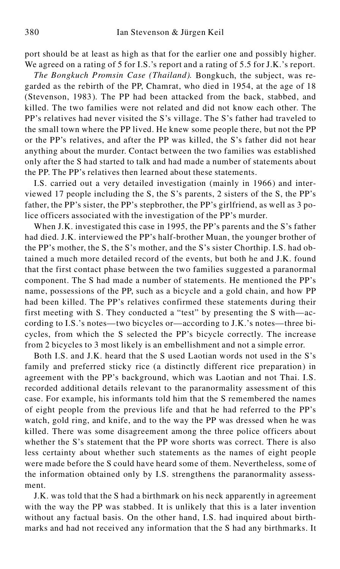port should be at least as high as that for the earlier one and possibly higher. We agreed on a rating of 5 for I.S.'s report and a rating of 5.5 for J.K.'s report.

*The Bongkuch Promsin Case (Thailand).* Bongkuch, the subject, was regarded as the rebirth of the PP, Chamrat, who died in 1954, at the age of 18 (Stevenson, 1983). The PP had been attacked from the back, stabbed, and killed. The two families were not related and did not know each other. The PP's relatives had never visited the S's village. The S's father had traveled to the small town where the PP lived. He knew some people there, but not the PP or the PP's relatives, and after the PP was killed, the S's father did not hear anything about the murder. Contact between the two families was established only after the S had started to talk and had made a number of statements about the PP. The PP's relatives then learned about these statements.

I.S. carried out a very detailed investigation (mainly in 1966) and interviewed 17 people including the S, the S's parents, 2 sisters of the S, the PP's father, the PP's sister, the PP's stepbrother, the PP's girlfriend, as well as 3 police officers associated with the investigation of the PP's murder.

When J.K. investigated this case in 1995, the PP's parents and the S's father had died. J.K. interviewed the PP's half-brother Muan, the younger brother of the PP's mother, the S, the S's mother, and the S's sister Chorthip. I.S. had obtained a much more detailed record of the events, but both he and J.K. found that the first contact phase between the two families suggested a paranormal component. The S had made a number of statements. He mentioned the PP's name, possessions of the PP, such as a bicycle and a gold chain, and how PP had been killed. The PP's relatives confirmed these statements during their first meeting with S. They conducted a "test" by presenting the S with—according to I.S.'s notes—two bicycles or—according to J.K.'s notes—three bicycles, from which the S selected the PP's bicycle correctly. The increase from 2 bicycles to 3 most likely is an embellishment and not a simple error.

Both I.S. and J.K. heard that the S used Laotian words not used in the S's family and preferred sticky rice (a distinctly different rice preparation) in agreement with the PP's background, which was Laotian and not Thai. I.S. recorded additional details relevant to the paranormality assessment of this case. For example, his informants told him that the S remembered the names of eight people from the previous life and that he had referred to the PP's watch, gold ring, and knife, and to the way the PP was dressed when he was killed. There was some disagreement among the three police officers about whether the S's statement that the PP wore shorts was correct. There is also less certainty about whether such statements as the names of eight people were made before the S could have heard some of them. Nevertheless, some of the information obtained only by I.S. strengthens the paranormality assessment.

J.K. was told that the S had a birthmark on his neck apparently in agreement with the way the PP was stabbed. It is unlikely that this is a later invention without any factual basis. On the other hand, I.S. had inquired about birthmarks and had not received any information that the S had any birthmarks. It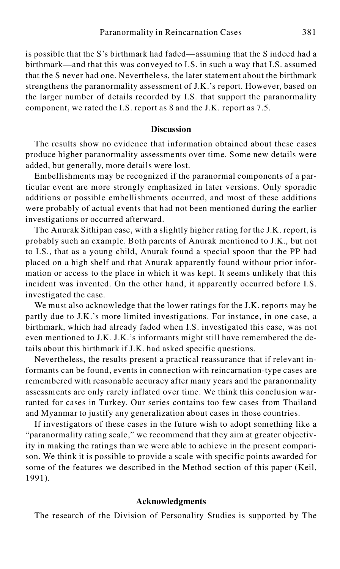is possible that the S's birthmark had faded—assuming that the S indeed had a birthmark—and that this was conveyed to I.S. in such a way that I.S. assumed that the S never had one. Nevertheless, the later statement about the birthmark strengthens the paranormality assessment of J.K.'s report. However, based on the larger number of details recorded by I.S. that support the paranormality component, we rated the I.S. report as 8 and the J.K. report as 7.5.

## **Discussion**

The results show no evidence that information obtained about these cases produce higher paranormality assessments over time. Some new details were added, but generally, more details were lost.

Embellishments may be recognized if the paranormal components of a particular event are more strongly emphasized in later versions. Only sporadic additions or possible embellishments occurred, and most of these additions were probably of actual events that had not been mentioned during the earlier investigations or occurred afterward.

The Anurak Sithipan case, with a slightly higher rating for the J.K. report, is probably such an example. Both parents of Anurak mentioned to J.K., but not to I.S., that as a young child, Anurak found a special spoon that the PP had placed on a high shelf and that Anurak apparently found without prior information or access to the place in which it was kept. It seems unlikely that this incident was invented. On the other hand, it apparently occurred before I.S. investigated the case.

We must also acknowledge that the lower ratings for the J.K. reports may be partly due to J.K.'s more limited investigations. For instance, in one case, a birthmark, which had already faded when I.S. investigated this case, was not even mentioned to J.K. J.K.'s informants might still have remembered the details about this birthmark if J.K. had asked specific questions.

Nevertheless, the results present a practical reassurance that if relevant informants can be found, events in connection with reincarnation-type cases are remembered with reasonable accuracy after many years and the paranormality assessments are only rarely inflated over time. We think this conclusion warranted for cases in Turkey. Our series contains too few cases from Thailand and Myanmar to justify any generalization about cases in those countries.

If investigators of these cases in the future wish to adopt something like a "paranormality rating scale," we recommend that they aim at greater objectivity in making the ratings than we were able to achieve in the present comparison. We think it is possible to provide a scale with specific points awarded for some of the features we described in the Method section of this paper (Keil, 1991).

#### **Acknowledgments**

The research of the Division of Personality Studies is supported by The